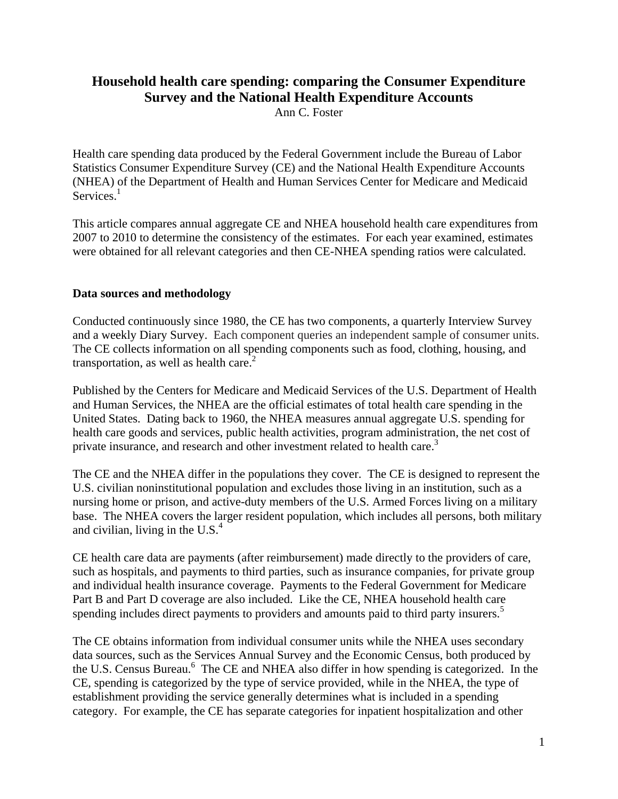# **Household health care spending: comparing the Consumer Expenditure Survey and the National Health Expenditure Accounts**

Ann C. Foster

Health care spending data produced by the Federal Government include the Bureau of Labor Statistics Consumer Expenditure Survey (CE) and the National Health Expenditure Accounts (NHEA) of the Department of Health and Human Services Center for Medicare and Medicaid Services. $<sup>1</sup>$ </sup>

This article compares annual aggregate CE and NHEA household health care expenditures from 2007 to 2010 to determine the consistency of the estimates. For each year examined, estimates were obtained for all relevant categories and then CE-NHEA spending ratios were calculated.

#### **Data sources and methodology**

Conducted continuously since 1980, the CE has two components, a quarterly Interview Survey and a weekly Diary Survey. Each component queries an independent sample of consumer units. The CE collects information on all spending components such as food, clothing, housing, and transportation, as well as health care. $<sup>2</sup>$ </sup>

Published by the Centers for Medicare and Medicaid Services of the U.S. Department of Health and Human Services, the NHEA are the official estimates of total health care spending in the United States. Dating back to 1960, the NHEA measures annual aggregate U.S. spending for health care goods and services, public health activities, program administration, the net cost of private insurance, and research and other investment related to health care.<sup>3</sup>

The CE and the NHEA differ in the populations they cover. The CE is designed to represent the U.S. civilian noninstitutional population and excludes those living in an institution, such as a nursing home or prison, and active-duty members of the U.S. Armed Forces living on a military base. The NHEA covers the larger resident population, which includes all persons, both military and civilian, living in the U.S. $<sup>4</sup>$ </sup>

CE health care data are payments (after reimbursement) made directly to the providers of care, such as hospitals, and payments to third parties, such as insurance companies, for private group and individual health insurance coverage. Payments to the Federal Government for Medicare Part B and Part D coverage are also included. Like the CE, NHEA household health care spending includes direct payments to providers and amounts paid to third party insurers.<sup>5</sup>

The CE obtains information from individual consumer units while the NHEA uses secondary data sources, such as the Services Annual Survey and the Economic Census, both produced by the U.S. Census Bureau.<sup>6</sup> The CE and NHEA also differ in how spending is categorized. In the CE, spending is categorized by the type of service provided, while in the NHEA, the type of establishment providing the service generally determines what is included in a spending category. For example, the CE has separate categories for inpatient hospitalization and other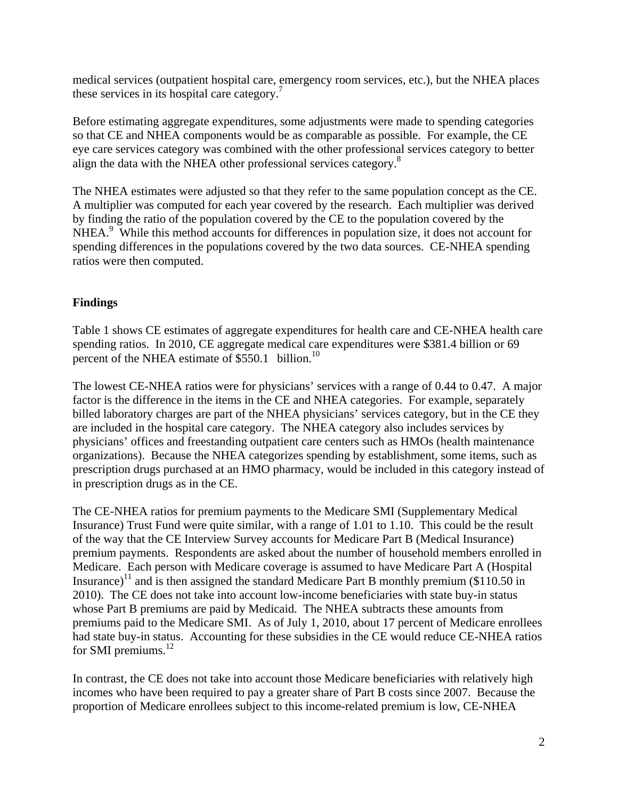medical services (outpatient hospital care, emergency room services, etc.), but the NHEA places these services in its hospital care category.<sup>7</sup>

Before estimating aggregate expenditures, some adjustments were made to spending categories so that CE and NHEA components would be as comparable as possible. For example, the CE eye care services category was combined with the other professional services category to better align the data with the NHEA other professional services category.<sup>8</sup>

The NHEA estimates were adjusted so that they refer to the same population concept as the CE. A multiplier was computed for each year covered by the research. Each multiplier was derived by finding the ratio of the population covered by the CE to the population covered by the NHEA.<sup>9</sup> While this method accounts for differences in population size, it does not account for spending differences in the populations covered by the two data sources. CE-NHEA spending ratios were then computed.

## **Findings**

Table 1 shows CE estimates of aggregate expenditures for health care and CE-NHEA health care spending ratios. In 2010, CE aggregate medical care expenditures were \$381.4 billion or 69 percent of the NHEA estimate of \$550.1 billion.<sup>10</sup>

The lowest CE-NHEA ratios were for physicians' services with a range of 0.44 to 0.47. A major factor is the difference in the items in the CE and NHEA categories. For example, separately billed laboratory charges are part of the NHEA physicians' services category, but in the CE they are included in the hospital care category. The NHEA category also includes services by physicians' offices and freestanding outpatient care centers such as HMOs (health maintenance organizations). Because the NHEA categorizes spending by establishment, some items, such as prescription drugs purchased at an HMO pharmacy, would be included in this category instead of in prescription drugs as in the CE.

The CE-NHEA ratios for premium payments to the Medicare SMI (Supplementary Medical Insurance) Trust Fund were quite similar, with a range of 1.01 to 1.10. This could be the result of the way that the CE Interview Survey accounts for Medicare Part B (Medical Insurance) premium payments. Respondents are asked about the number of household members enrolled in Medicare. Each person with Medicare coverage is assumed to have Medicare Part A (Hospital Insurance)<sup>11</sup> and is then assigned the standard Medicare Part B monthly premium (\$110.50 in 2010). The CE does not take into account low-income beneficiaries with state buy-in status whose Part B premiums are paid by Medicaid. The NHEA subtracts these amounts from premiums paid to the Medicare SMI. As of July 1, 2010, about 17 percent of Medicare enrollees had state buy-in status. Accounting for these subsidies in the CE would reduce CE-NHEA ratios for SMI premiums.<sup>12</sup>

In contrast, the CE does not take into account those Medicare beneficiaries with relatively high incomes who have been required to pay a greater share of Part B costs since 2007. Because the proportion of Medicare enrollees subject to this income-related premium is low, CE-NHEA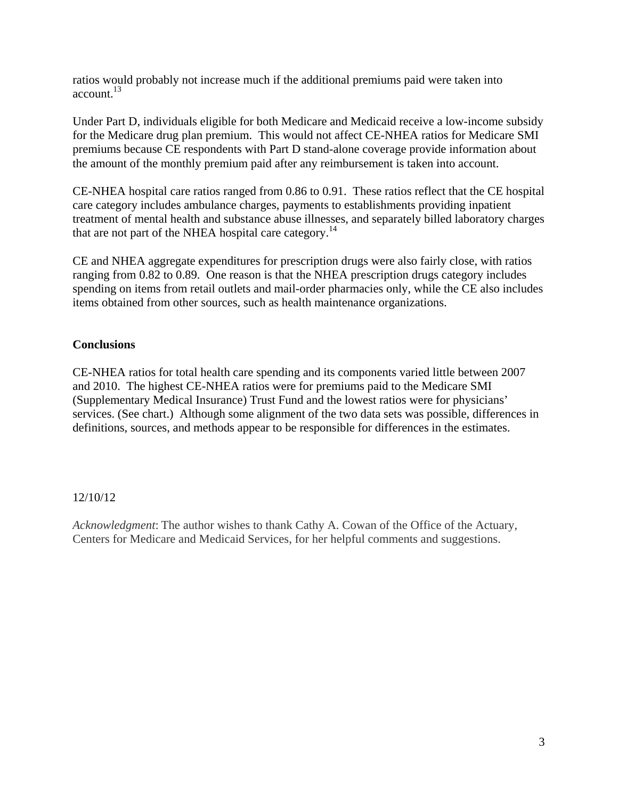ratios would probably not increase much if the additional premiums paid were taken into account.13

Under Part D, individuals eligible for both Medicare and Medicaid receive a low-income subsidy for the Medicare drug plan premium. This would not affect CE-NHEA ratios for Medicare SMI premiums because CE respondents with Part D stand-alone coverage provide information about the amount of the monthly premium paid after any reimbursement is taken into account.

CE-NHEA hospital care ratios ranged from 0.86 to 0.91. These ratios reflect that the CE hospital care category includes ambulance charges, payments to establishments providing inpatient treatment of mental health and substance abuse illnesses, and separately billed laboratory charges that are not part of the NHEA hospital care category.<sup>14</sup>

CE and NHEA aggregate expenditures for prescription drugs were also fairly close, with ratios ranging from 0.82 to 0.89. One reason is that the NHEA prescription drugs category includes spending on items from retail outlets and mail-order pharmacies only, while the CE also includes items obtained from other sources, such as health maintenance organizations.

### **Conclusions**

CE-NHEA ratios for total health care spending and its components varied little between 2007 and 2010. The highest CE-NHEA ratios were for premiums paid to the Medicare SMI (Supplementary Medical Insurance) Trust Fund and the lowest ratios were for physicians' services. (See chart.) Although some alignment of the two data sets was possible, differences in definitions, sources, and methods appear to be responsible for differences in the estimates.

### 12/10/12

*Acknowledgment*: The author wishes to thank Cathy A. Cowan of the Office of the Actuary, Centers for Medicare and Medicaid Services, for her helpful comments and suggestions.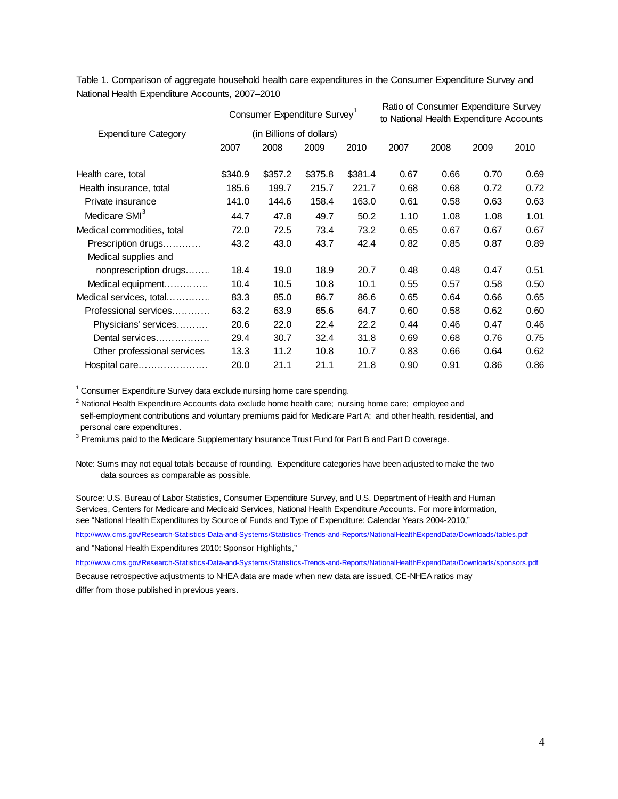Table 1. Comparison of aggregate household health care expenditures in the Consumer Expenditure Survey and National Health Expenditure Accounts, 2007–2010

|                             | Consumer Expenditure Survey <sup>1</sup> |         |         |         | Ratio of Consumer Expenditure Survey<br>to National Health Expenditure Accounts |      |      |      |
|-----------------------------|------------------------------------------|---------|---------|---------|---------------------------------------------------------------------------------|------|------|------|
| <b>Expenditure Category</b> | (in Billions of dollars)                 |         |         |         |                                                                                 |      |      |      |
|                             | 2007                                     | 2008    | 2009    | 2010    | 2007                                                                            | 2008 | 2009 | 2010 |
| Health care, total          | \$340.9                                  | \$357.2 | \$375.8 | \$381.4 | 0.67                                                                            | 0.66 | 0.70 | 0.69 |
| Health insurance, total     | 185.6                                    | 199.7   | 215.7   | 221.7   | 0.68                                                                            | 0.68 | 0.72 | 0.72 |
| Private insurance           | 141.0                                    | 144.6   | 158.4   | 163.0   | 0.61                                                                            | 0.58 | 0.63 | 0.63 |
| Medicare SMI <sup>3</sup>   | 44.7                                     | 47.8    | 49.7    | 50.2    | 1.10                                                                            | 1.08 | 1.08 | 1.01 |
| Medical commodities, total  | 72.0                                     | 72.5    | 73.4    | 73.2    | 0.65                                                                            | 0.67 | 0.67 | 0.67 |
| Prescription drugs          | 43.2                                     | 43.0    | 43.7    | 42.4    | 0.82                                                                            | 0.85 | 0.87 | 0.89 |
| Medical supplies and        |                                          |         |         |         |                                                                                 |      |      |      |
| nonprescription drugs       | 18.4                                     | 19.0    | 18.9    | 20.7    | 0.48                                                                            | 0.48 | 0.47 | 0.51 |
| Medical equipment           | 10.4                                     | 10.5    | 10.8    | 10.1    | 0.55                                                                            | 0.57 | 0.58 | 0.50 |
| Medical services, total     | 83.3                                     | 85.0    | 86.7    | 86.6    | 0.65                                                                            | 0.64 | 0.66 | 0.65 |
| Professional services       | 63.2                                     | 63.9    | 65.6    | 64.7    | 0.60                                                                            | 0.58 | 0.62 | 0.60 |
| Physicians' services        | 20.6                                     | 22.0    | 22.4    | 22.2    | 0.44                                                                            | 0.46 | 0.47 | 0.46 |
| Dental services             | 29.4                                     | 30.7    | 32.4    | 31.8    | 0.69                                                                            | 0.68 | 0.76 | 0.75 |
| Other professional services | 13.3                                     | 11.2    | 10.8    | 10.7    | 0.83                                                                            | 0.66 | 0.64 | 0.62 |
| Hospital care               | 20.0                                     | 21.1    | 21.1    | 21.8    | 0.90                                                                            | 0.91 | 0.86 | 0.86 |

 $1$  Consumer Expenditure Survey data exclude nursing home care spending.

<sup>2</sup> National Health Expenditure Accounts data exclude home health care; nursing home care; employee and self-employment contributions and voluntary premiums paid for Medicare Part A; and other health, residential, and personal care expenditures.

 $3$  Premiums paid to the Medicare Supplementary Insurance Trust Fund for Part B and Part D coverage.

Note: Sums may not equal totals because of rounding. Expenditure categories have been adjusted to make the two data sources as comparable as possible.

Source: U.S. Bureau of Labor Statistics, Consumer Expenditure Survey, and U.S. Department of Health and Human Services, Centers for Medicare and Medicaid Services, National Health Expenditure Accounts. For more information, see "National Health Expenditures by Source of Funds and Type of Expenditure: Calendar Years 2004-2010,"

http://www.cms.gov/Research-Statistics-Data-and-Systems/Statistics-Trends-and-Reports/NationalHealthExpendData/Downloads/tables.pdf and "National Health Expenditures 2010: Sponsor Highlights,"

http://www.cms.gov/Research-Statistics-Data-and-Systems/Statistics-Trends-and-Reports/NationalHealthExpendData/Downloads/sponsors.pdf

Because retrospective adjustments to NHEA data are made when new data are issued, CE-NHEA ratios may differ from those published in previous years.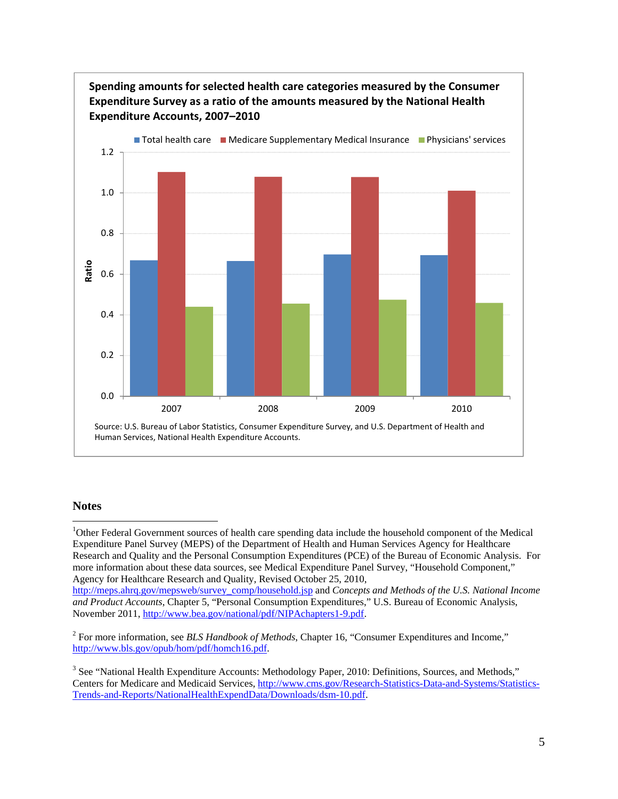

#### **Notes**

1

<sup>1</sup>Other Federal Government sources of health care spending data include the household component of the Medical Expenditure Panel Survey (MEPS) of the Department of Health and Human Services Agency for Healthcare Research and Quality and the Personal Consumption Expenditures (PCE) of the Bureau of Economic Analysis. For more information about these data sources, see Medical Expenditure Panel Survey, "Household Component," Agency for Healthcare Research and Quality, Revised October 25, 2010, http://meps.ahrq.gov/mepsweb/survey\_comp/household.jsp and *Concepts and Methods of the U.S. National Income* 

*and Product Accounts*, Chapter 5, "Personal Consumption Expenditures," U.S. Bureau of Economic Analysis, November 2011, http://www.bea.gov/national/pdf/NIPAchapters1-9.pdf.

<sup>2</sup> For more information, see *BLS Handbook of Methods*, Chapter 16, "Consumer Expenditures and Income," http://www.bls.gov/opub/hom/pdf/homch16.pdf.

<sup>3</sup> See "National Health Expenditure Accounts: Methodology Paper, 2010: Definitions, Sources, and Methods," Centers for Medicare and Medicaid Services, http://www.cms.gov/Research-Statistics-Data-and-Systems/Statistics-Trends-and-Reports/NationalHealthExpendData/Downloads/dsm-10.pdf.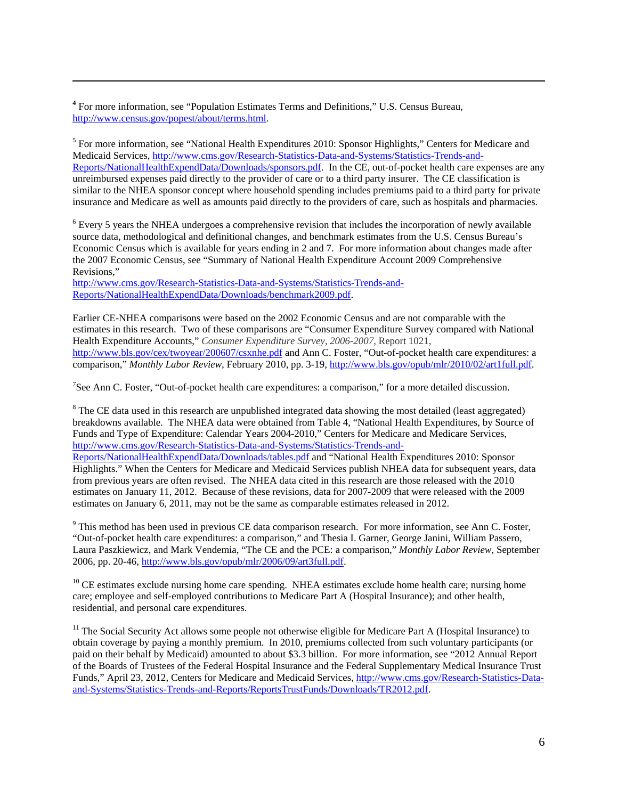**<sup>4</sup>** For more information, see "Population Estimates Terms and Definitions," U.S. Census Bureau, http://www.census.gov/popest/about/terms.html.

1

<sup>5</sup> For more information, see "National Health Expenditures 2010: Sponsor Highlights," Centers for Medicare and Medicaid Services, http://www.cms.gov/Research-Statistics-Data-and-Systems/Statistics-Trends-and-Reports/NationalHealthExpendData/Downloads/sponsors.pdf. In the CE, out-of-pocket health care expenses are any unreimbursed expenses paid directly to the provider of care or to a third party insurer. The CE classification is similar to the NHEA sponsor concept where household spending includes premiums paid to a third party for private insurance and Medicare as well as amounts paid directly to the providers of care, such as hospitals and pharmacies.

<sup>6</sup> Every 5 years the NHEA undergoes a comprehensive revision that includes the incorporation of newly available source data, methodological and definitional changes, and benchmark estimates from the U.S. Census Bureau's Economic Census which is available for years ending in 2 and 7. For more information about changes made after the 2007 Economic Census, see "Summary of National Health Expenditure Account 2009 Comprehensive Revisions,"

http://www.cms.gov/Research-Statistics-Data-and-Systems/Statistics-Trends-and-Reports/NationalHealthExpendData/Downloads/benchmark2009.pdf.

Earlier CE-NHEA comparisons were based on the 2002 Economic Census and are not comparable with the estimates in this research. Two of these comparisons are "Consumer Expenditure Survey compared with National Health Expenditure Accounts," *Consumer Expenditure Survey, 2006-2007*, Report 1021, http://www.bls.gov/cex/twoyear/200607/csxnhe.pdf and Ann C. Foster, "Out-of-pocket health care expenditures: a comparison," *Monthly Labor Review*, February 2010, pp. 3-19, http://www.bls.gov/opub/mlr/2010/02/art1full.pdf.

<sup>7</sup>See Ann C. Foster, "Out-of-pocket health care expenditures: a comparison," for a more detailed discussion.

 $8$  The CE data used in this research are unpublished integrated data showing the most detailed (least aggregated) breakdowns available. The NHEA data were obtained from Table 4, "National Health Expenditures, by Source of Funds and Type of Expenditure: Calendar Years 2004-2010," Centers for Medicare and Medicare Services, http://www.cms.gov/Research-Statistics-Data-and-Systems/Statistics-Trends-and-

Reports/NationalHealthExpendData/Downloads/tables.pdf and "National Health Expenditures 2010: Sponsor Highlights." When the Centers for Medicare and Medicaid Services publish NHEA data for subsequent years, data from previous years are often revised. The NHEA data cited in this research are those released with the 2010 estimates on January 11, 2012. Because of these revisions, data for 2007-2009 that were released with the 2009 estimates on January 6, 2011, may not be the same as comparable estimates released in 2012.

<sup>9</sup> This method has been used in previous CE data comparison research. For more information, see Ann C. Foster, "Out-of-pocket health care expenditures: a comparison," and Thesia I. Garner, George Janini, William Passero, Laura Paszkiewicz, and Mark Vendemia, "The CE and the PCE: a comparison," *Monthly Labor Review*, September 2006, pp. 20-46, http://www.bls.gov/opub/mlr/2006/09/art3full.pdf.

 $10$  CE estimates exclude nursing home care spending. NHEA estimates exclude home health care; nursing home care; employee and self-employed contributions to Medicare Part A (Hospital Insurance); and other health, residential, and personal care expenditures.

 $11$  The Social Security Act allows some people not otherwise eligible for Medicare Part A (Hospital Insurance) to obtain coverage by paying a monthly premium. In 2010, premiums collected from such voluntary participants (or paid on their behalf by Medicaid) amounted to about \$3.3 billion. For more information, see "2012 Annual Report of the Boards of Trustees of the Federal Hospital Insurance and the Federal Supplementary Medical Insurance Trust Funds," April 23, 2012, Centers for Medicare and Medicaid Services, http://www.cms.gov/Research-Statistics-Dataand-Systems/Statistics-Trends-and-Reports/ReportsTrustFunds/Downloads/TR2012.pdf.